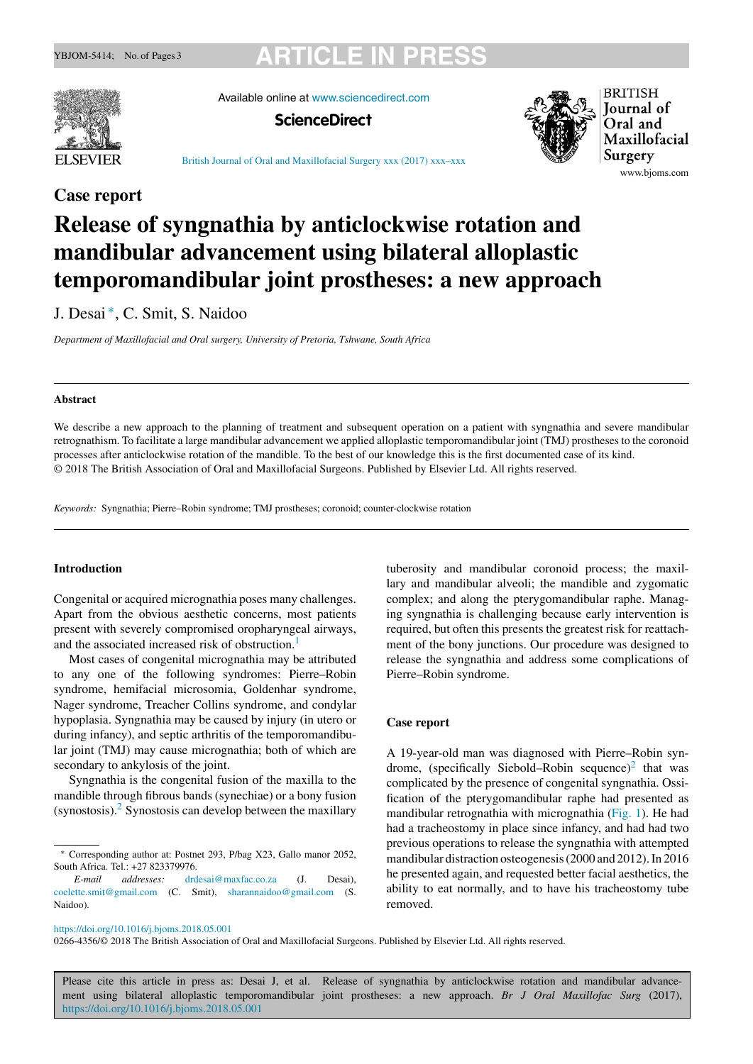## **YBJOM-5414; No. of Pages 3 ARTICLE IN PRESS**



Available online at www.sciencedirect.com





www.bjoms.com

British Journal of Oral and Maxillofacial Surgery xxx (2017) xxx–xxx

### **Case report**

# **Release of syngnathia by anticlockwise rotation and mandibular advancement using bilateral alloplastic temporomandibular joint prostheses: a new approach**

J. Desai ∗, C. Smit, S. Naidoo

*Department of Maxillofacial and Oral surgery, University of Pretoria, Tshwane, South Africa*

#### **Abstract**

We describe a new approach to the planning of treatment and subsequent operation on a patient with syngnathia and severe mandibular retrognathism. To facilitate a large mandibular advancement we applied alloplastic temporomandibular joint (TMJ) prostheses to the coronoid processes after anticlockwise rotation of the mandible. To the best of our knowledge this is the first documented case of its kind. © 2018 The British Association of Oral and Maxillofacial Surgeons. Published by Elsevier Ltd. All rights reserved.

*Keywords:* Syngnathia; Pierre–Robin syndrome; TMJ prostheses; coronoid; counter-clockwise rotation

### **Introduction**

Congenital or acquired micrognathia poses many challenges. Apart from the obvious aesthetic concerns, most patients present with severely compromised oropharyngeal airways, and the associated increased risk of obstruction.<sup>1</sup>

Most cases of congenital micrognathia may be attributed to any one of the following syndromes: Pierre–Robin syndrome, hemifacial microsomia, Goldenhar syndrome, Nager syndrome, Treacher Collins syndrome, and condylar hypoplasia. Syngnathia may be caused by injury (in utero or during infancy), and septic arthritis of the temporomandibular joint (TMJ) may cause micrognathia; both of which are secondary to ankylosis of the joint.

Syngnathia is the congenital fusion of the maxilla to the mandible through fibrous bands (synechiae) or a bony fusion  $(synostosis)$ .  $\frac{2}{synostosis}$  can develop between the maxillary tuberosity and mandibular coronoid process; the maxillary and mandibular alveoli; the mandible and zygomatic complex; and along the pterygomandibular raphe. Managing syngnathia is challenging because early intervention is required, but often this presents the greatest risk for reattachment of the bony junctions. Our procedure was designed to release the syngnathia and address some complications of Pierre–Robin syndrome.

#### **Case report**

A 19-year-old man was diagnosed with Pierre–Robin syndrome, (specifically Siebold–Robin sequence)<sup>2</sup> that was complicated by the presence of congenital syngnathia. Ossification of the pterygomandibular raphe had presented as mandibular retrognathia with micrognathia (Fig. 1). He had had a tracheostomy in place since infancy, and had had two previous operations to release the syngnathia with attempted mandibular distraction osteogenesis (2000 and 2012). In 2016 he presented again, and requested better facial aesthetics, the ability to eat normally, and to have his tracheostomy tube removed.

https://doi.org/10.1016/j.bjoms.2018.05.001

0266-4356/© 2018 The British Association of Oral and Maxillofacial Surgeons. Published by Elsevier Ltd. All rights reserved.

Please cite this article in press as: Desai J, et al. Release of syngnathia by anticlockwise rotation and mandibular advancement using bilateral alloplastic temporomandibular joint prostheses: a new approach. *Br J Oral Maxillofac Surg* (2017), https://doi.org/10.1016/j.bjoms.2018.05.001

<sup>∗</sup> Corresponding author at: Postnet 293, P/bag X23, Gallo manor 2052, South Africa. Tel.: +27 823379976.

*E-mail addresses:* drdesai@maxfac.co.za (J. Desai), coelette.smit@gmail.com (C. Smit), sharannaidoo@gmail.com (S. Naidoo).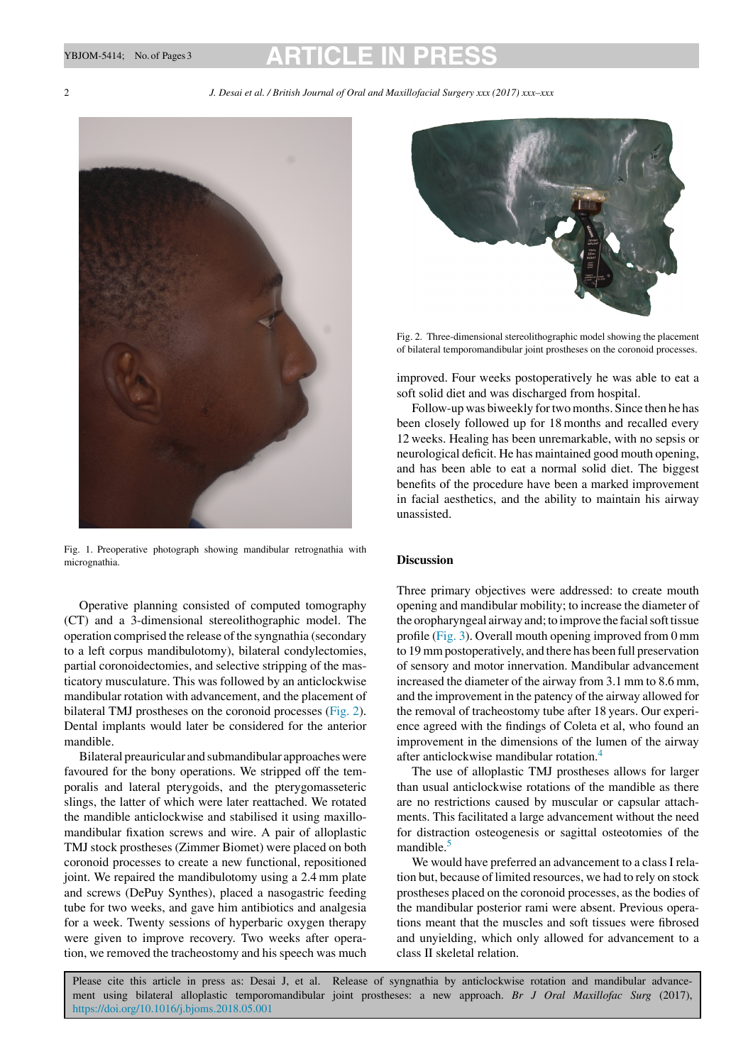### YBJOM-5414; No. of Pages 3 **ARTICLE IN P**

2 *J. Desai et al. / British Journal of Oral and Maxillofacial Surgery xxx (2017) xxx–xxx*



Fig. 1. Preoperative photograph showing mandibular retrognathia with micrognathia.

Operative planning consisted of computed tomography (CT) and a 3-dimensional stereolithographic model. The operation comprised the release of the syngnathia (secondary to a left corpus mandibulotomy), bilateral condylectomies, partial coronoidectomies, and selective stripping of the masticatory musculature. This was followed by an anticlockwise mandibular rotation with advancement, and the placement of bilateral TMJ prostheses on the coronoid processes (Fig. 2). Dental implants would later be considered for the anterior mandible.

Bilateral preauricular and submandibular approaches were favoured for the bony operations. We stripped off the temporalis and lateral pterygoids, and the pterygomasseteric slings, the latter of which were later reattached. We rotated the mandible anticlockwise and stabilised it using maxillomandibular fixation screws and wire. A pair of alloplastic TMJ stock prostheses (Zimmer Biomet) were placed on both coronoid processes to create a new functional, repositioned joint. We repaired the mandibulotomy using a 2.4 mm plate and screws (DePuy Synthes), placed a nasogastric feeding tube for two weeks, and gave him antibiotics and analgesia for a week. Twenty sessions of hyperbaric oxygen therapy were given to improve recovery. Two weeks after operation, we removed the tracheostomy and his speech was much



Fig. 2. Three-dimensional stereolithographic model showing the placement of bilateral temporomandibular joint prostheses on the coronoid processes.

improved. Four weeks postoperatively he was able to eat a soft solid diet and was discharged from hospital.

Follow-up was biweekly for two months. Since then he has been closely followed up for 18 months and recalled every 12 weeks. Healing has been unremarkable, with no sepsis or neurological deficit. He has maintained good mouth opening, and has been able to eat a normal solid diet. The biggest benefits of the procedure have been a marked improvement in facial aesthetics, and the ability to maintain his airway unassisted.

### **Discussion**

Three primary objectives were addressed: to create mouth opening and mandibular mobility; to increase the diameter of the oropharyngeal airway and; to improve the facial soft tissue profile (Fig. 3). Overall mouth opening improved from 0 mm to 19 mm postoperatively, and there has been full preservation of sensory and motor innervation. Mandibular advancement increased the diameter of the airway from 3.1 mm to 8.6 mm, and the improvement in the patency of the airway allowed for the removal of tracheostomy tube after 18 years. Our experience agreed with the findings of Coleta et al, who found an improvement in the dimensions of the lumen of the airway after anticlockwise mandibular rotation.4

The use of alloplastic TMJ prostheses allows for larger than usual anticlockwise rotations of the mandible as there are no restrictions caused by muscular or capsular attachments. This facilitated a large advancement without the need for distraction osteogenesis or sagittal osteotomies of the mandible.<sup>5</sup>

We would have preferred an advancement to a class I relation but, because of limited resources, we had to rely on stock prostheses placed on the coronoid processes, as the bodies of the mandibular posterior rami were absent. Previous operations meant that the muscles and soft tissues were fibrosed and unyielding, which only allowed for advancement to a class II skeletal relation.

Please cite this article in press as: Desai J, et al. Release of syngnathia by anticlockwise rotation and mandibular advancement using bilateral alloplastic temporomandibular joint prostheses: a new approach. *Br J Oral Maxillofac Surg* (2017), https://doi.org/10.1016/j.bjoms.2018.05.001